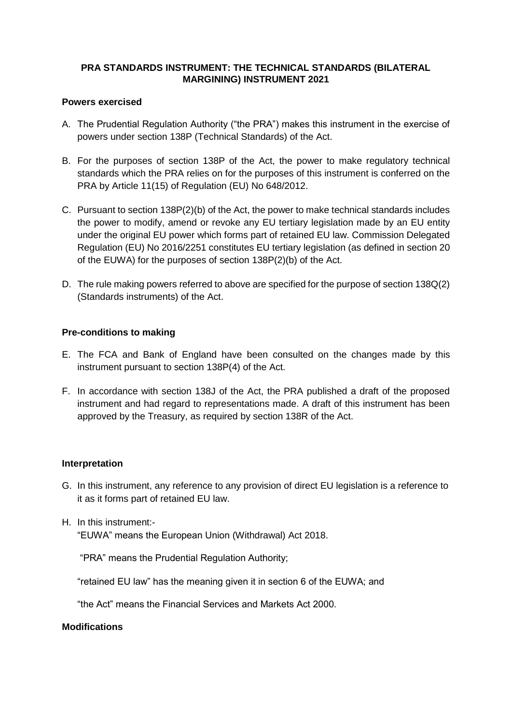# **PRA STANDARDS INSTRUMENT: THE TECHNICAL STANDARDS (BILATERAL MARGINING) INSTRUMENT 2021**

### **Powers exercised**

- A. The Prudential Regulation Authority ("the PRA") makes this instrument in the exercise of powers under section 138P (Technical Standards) of the Act.
- B. For the purposes of section 138P of the Act, the power to make regulatory technical standards which the PRA relies on for the purposes of this instrument is conferred on the PRA by Article 11(15) of Regulation (EU) No 648/2012.
- C. Pursuant to section 138P(2)(b) of the Act, the power to make technical standards includes the power to modify, amend or revoke any EU tertiary legislation made by an EU entity under the original EU power which forms part of retained EU law. Commission Delegated Regulation (EU) No 2016/2251 constitutes EU tertiary legislation (as defined in section 20 of the EUWA) for the purposes of section 138P(2)(b) of the Act.
- D. The rule making powers referred to above are specified for the purpose of section 138Q(2) (Standards instruments) of the Act.

### **Pre-conditions to making**

- E. The FCA and Bank of England have been consulted on the changes made by this instrument pursuant to section 138P(4) of the Act.
- F. In accordance with section 138J of the Act, the PRA published a draft of the proposed instrument and had regard to representations made. A draft of this instrument has been approved by the Treasury, as required by section 138R of the Act.

### **Interpretation**

- G. In this instrument, any reference to any provision of direct EU legislation is a reference to it as it forms part of retained EU law.
- H. In this instrument:- "EUWA" means the European Union (Withdrawal) Act 2018.

"PRA" means the Prudential Regulation Authority;

"retained EU law" has the meaning given it in section 6 of the EUWA; and

"the Act" means the Financial Services and Markets Act 2000.

#### **Modifications**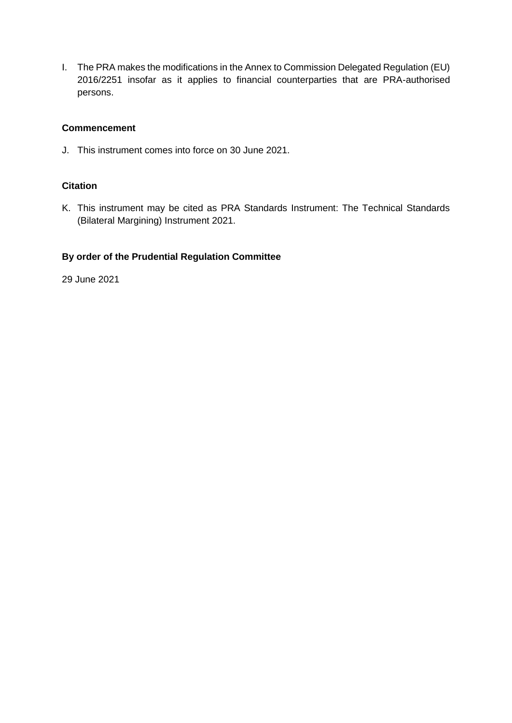I. The PRA makes the modifications in the Annex to Commission Delegated Regulation (EU) 2016/2251 insofar as it applies to financial counterparties that are PRA-authorised persons.

## **Commencement**

J. This instrument comes into force on 30 June 2021.

# **Citation**

K. This instrument may be cited as PRA Standards Instrument: The Technical Standards (Bilateral Margining) Instrument 2021.

# **By order of the Prudential Regulation Committee**

29 June 2021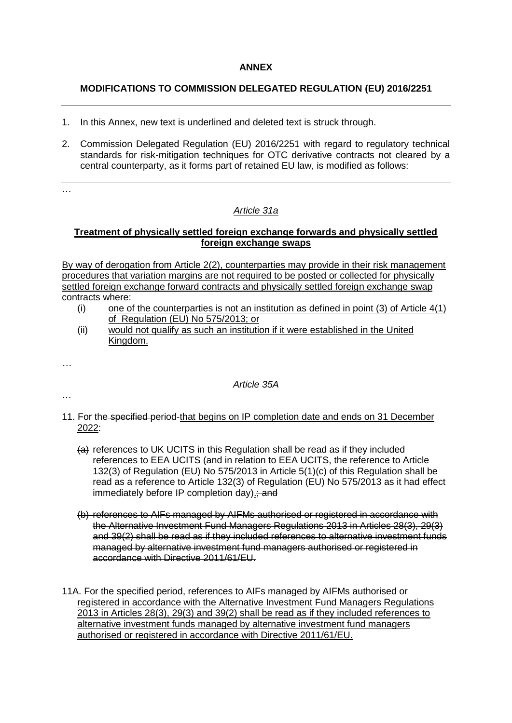#### **ANNEX**

## **MODIFICATIONS TO COMMISSION DELEGATED REGULATION (EU) 2016/2251**

- 1. In this Annex, new text is underlined and deleted text is struck through.
- 2. Commission Delegated Regulation (EU) 2016/2251 with regard to regulatory technical standards for risk-mitigation techniques for OTC derivative contracts not cleared by a central counterparty, as it forms part of retained EU law, is modified as follows:

…

# *Article 31a*

#### **Treatment of physically settled foreign exchange forwards and physically settled foreign exchange swaps**

By way of derogation from Article 2(2), counterparties may provide in their risk management procedures that variation margins are not required to be posted or collected for physically settled foreign exchange forward contracts and physically settled foreign exchange swap contracts where:

- $(i)$  one of the counterparties is not an institution as defined in point (3) of Article  $4(1)$ of Regulation (EU) No 575/2013; or
- (ii) would not qualify as such an institution if it were established in the United Kingdom.

*…*

### *Article 35A*

…

- 11. For the specified period-that begins on IP completion date and ends on 31 December 2022:
	- (a) references to UK UCITS in this Regulation shall be read as if they included references to EEA UCITS (and in relation to EEA UCITS, the reference to Article 132(3) of Regulation (EU) No 575/2013 in Article 5(1)(c) of this Regulation shall be read as a reference to Article 132(3) of Regulation (EU) No 575/2013 as it had effect immediately before IP completion day). and
	- (b) references to AIFs managed by AIFMs authorised or registered in accordance with the Alternative Investment Fund Managers Regulations 2013 in Articles 28(3), 29(3) and 39(2) shall be read as if they included references to alternative investment funds managed by alternative investment fund managers authorised or registered in accordance with Directive 2011/61/EU.

11A. For the specified period, references to AIFs managed by AIFMs authorised or registered in accordance with the Alternative Investment Fund Managers Regulations 2013 in Articles 28(3), 29(3) and 39(2) shall be read as if they included references to alternative investment funds managed by alternative investment fund managers authorised or registered in accordance with Directive 2011/61/EU.